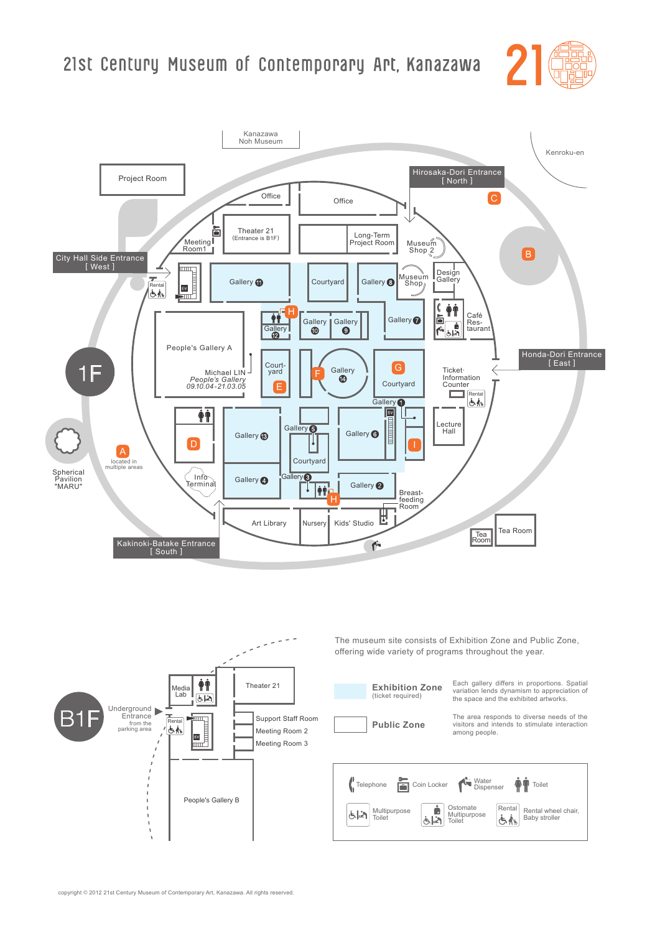





The museum site consists of Exhibition Zone and Public Zone, offering wide variety of programs throughout the year.

> Each gallery differs in proportions. Spatial variation lends dynamism to appreciation of the space and the exhibited artworks.

The area responds to diverse needs of the visitors and intends to stimulate interaction among people.